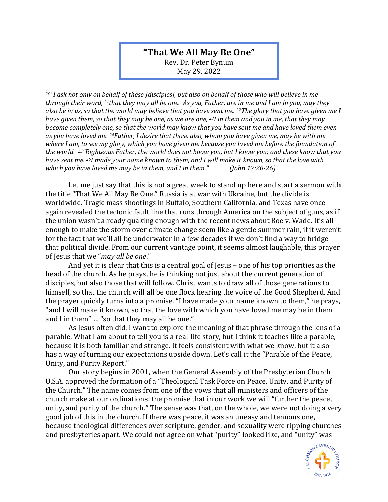## **"That We All May Be One"**

Rev. Dr. Peter Bynum May 29, 2022

*<sup>20</sup>"I ask not only on behalf of these [disciples], but also on behalf of those who will believe in me through their word, 21that they may all be one. As you, Father, are in me and I am in you, may they also be in us, so that the world may believe that you have sent me. 22The glory that you have given me I have given them, so that they may be one, as we are one, 23I in them and you in me, that they may become completely one, so that the world may know that you have sent me and have loved them even as you have loved me. 24Father, I desire that those also, whom you have given me, may be with me where I am, to see my glory, which you have given me because you loved me before the foundation of the world. 25"Righteous Father, the world does not know you, but I know you; and these know that you have sent me. 26I made your name known to them, and I will make it known, so that the love with which you have loved me may be in them, and I in them." (John 17:20-26)*

Let me just say that this is not a great week to stand up here and start a sermon with the title "That We All May Be One." Russia is at war with Ukraine, but the divide is worldwide. Tragic mass shootings in Buffalo, Southern California, and Texas have once again revealed the tectonic fault line that runs through America on the subject of guns, as if the union wasn't already quaking enough with the recent news about Roe v. Wade. It's all enough to make the storm over climate change seem like a gentle summer rain, if it weren't for the fact that we'll all be underwater in a few decades if we don't find a way to bridge that political divide. From our current vantage point, it seems almost laughable, this prayer of Jesus that we "*may all be one*."

And yet it is clear that this is a central goal of Jesus – one of his top priorities as the head of the church. As he prays, he is thinking not just about the current generation of disciples, but also those that will follow. Christ wants to draw all of those generations to himself, so that the church will all be one flock hearing the voice of the Good Shepherd. And the prayer quickly turns into a promise. "I have made your name known to them," he prays, "and I will make it known, so that the love with which you have loved me may be in them and I in them" … "so that they may all be one."

As Jesus often did, I want to explore the meaning of that phrase through the lens of a parable. What I am about to tell you is a real-life story, but I think it teaches like a parable, because it is both familiar and strange. It feels consistent with what we know, but it also has a way of turning our expectations upside down. Let's call it the "Parable of the Peace, Unity, and Purity Report."

Our story begins in 2001, when the General Assembly of the Presbyterian Church U.S.A. approved the formation of a "Theological Task Force on Peace, Unity, and Purity of the Church." The name comes from one of the vows that all ministers and officers of the church make at our ordinations: the promise that in our work we will "further the peace, unity, and purity of the church." The sense was that, on the whole, we were not doing a very good job of this in the church. If there was peace, it was an uneasy and tenuous one, because theological differences over scripture, gender, and sexuality were ripping churches and presbyteries apart. We could not agree on what "purity" looked like, and "unity" was

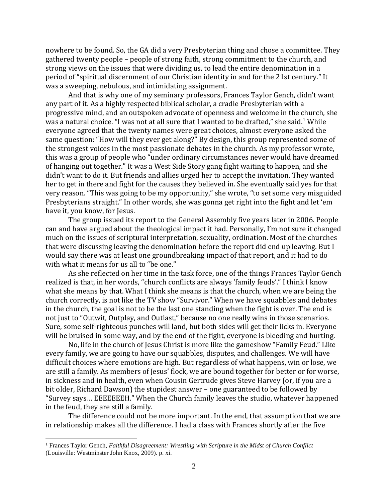nowhere to be found. So, the GA did a very Presbyterian thing and chose a committee. They gathered twenty people – people of strong faith, strong commitment to the church, and strong views on the issues that were dividing us, to lead the entire denomination in a period of "spiritual discernment of our Christian identity in and for the 21st century." It was a sweeping, nebulous, and intimidating assignment.

And that is why one of my seminary professors, Frances Taylor Gench, didn't want any part of it. As a highly respected biblical scholar, a cradle Presbyterian with a progressive mind, and an outspoken advocate of openness and welcome in the church, she was a natural choice. "I was not at all sure that I wanted to be drafted," she said.<sup>1</sup> While everyone agreed that the twenty names were great choices, almost everyone asked the same question: "How will they ever get along?" By design, this group represented some of the strongest voices in the most passionate debates in the church. As my professor wrote, this was a group of people who "under ordinary circumstances never would have dreamed of hanging out together." It was a West Side Story gang fight waiting to happen, and she didn't want to do it. But friends and allies urged her to accept the invitation. They wanted her to get in there and fight for the causes they believed in. She eventually said yes for that very reason. "This was going to be my opportunity," she wrote, "to set some very misguided Presbyterians straight." In other words, she was gonna get right into the fight and let 'em have it, you know, for Jesus.

The group issued its report to the General Assembly five years later in 2006. People can and have argued about the theological impact it had. Personally, I'm not sure it changed much on the issues of scriptural interpretation, sexuality, ordination. Most of the churches that were discussing leaving the denomination before the report did end up leaving. But I would say there was at least one groundbreaking impact of that report, and it had to do with what it means for us all to "be one."

As she reflected on her time in the task force, one of the things Frances Taylor Gench realized is that, in her words, "church conflicts are always 'family feuds'." I think I know what she means by that. What I think she means is that the church, when we are being the church correctly, is not like the TV show "Survivor." When we have squabbles and debates in the church, the goal is not to be the last one standing when the fight is over. The end is not just to "Outwit, Outplay, and Outlast," because no one really wins in those scenarios. Sure, some self-righteous punches will land, but both sides will get their licks in. Everyone will be bruised in some way, and by the end of the fight, everyone is bleeding and hurting.

No, life in the church of Jesus Christ is more like the gameshow "Family Feud." Like every family, we are going to have our squabbles, disputes, and challenges. We will have difficult choices where emotions are high. But regardless of what happens, win or lose, we are still a family. As members of Jesus' flock, we are bound together for better or for worse, in sickness and in health, even when Cousin Gertrude gives Steve Harvey (or, if you are a bit older, Richard Dawson) the stupidest answer – one guaranteed to be followed by "Survey says… EEEEEEEH." When the Church family leaves the studio, whatever happened in the feud, they are still a family.

The difference could not be more important. In the end, that assumption that we are in relationship makes all the difference. I had a class with Frances shortly after the five

<sup>&</sup>lt;sup>1</sup> Frances Taylor Gench, *Faithful Disagreement: Wrestling with Scripture in the Midst of Church Conflict* (Louisville: Westminster John Knox, 2009). p. xi.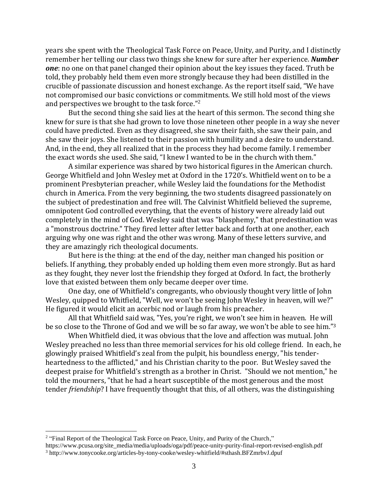years she spent with the Theological Task Force on Peace, Unity, and Purity, and I distinctly remember her telling our class two things she knew for sure after her experience. *Number one*: no one on that panel changed their opinion about the key issues they faced. Truth be told, they probably held them even more strongly because they had been distilled in the crucible of passionate discussion and honest exchange. As the report itself said, "We have not compromised our basic convictions or commitments. We still hold most of the views and perspectives we brought to the task force."<sup>2</sup>

But the second thing she said lies at the heart of this sermon. The second thing she knew for sure is that she had grown to love those nineteen other people in a way she never could have predicted. Even as they disagreed, she saw their faith, she saw their pain, and she saw their joys. She listened to their passion with humility and a desire to understand. And, in the end, they all realized that in the process they had become family. I remember the exact words she used. She said, "I knew I wanted to be in the church with them."

A similar experience was shared by two historical figures in the American church. George Whitfield and John Wesley met at Oxford in the 1720's. Whitfield went on to be a prominent Presbyterian preacher, while Wesley laid the foundations for the Methodist church in America. From the very beginning, the two students disagreed passionately on the subject of predestination and free will. The Calvinist Whitfield believed the supreme, omnipotent God controlled everything, that the events of history were already laid out completely in the mind of God. Wesley said that was "blasphemy," that predestination was a "monstrous doctrine." They fired letter after letter back and forth at one another, each arguing why one was right and the other was wrong. Many of these letters survive, and they are amazingly rich theological documents.

But here is the thing: at the end of the day, neither man changed his position or beliefs. If anything, they probably ended up holding them even more strongly. But as hard as they fought, they never lost the friendship they forged at Oxford. In fact, the brotherly love that existed between them only became deeper over time.

One day, one of Whitfield's congregants, who obviously thought very little of John Wesley, quipped to Whitfield, "Well, we won't be seeing John Wesley in heaven, will we?" He figured it would elicit an acerbic nod or laugh from his preacher.

All that Whitfield said was, "Yes, you're right, we won't see him in heaven. He will be so close to the Throne of God and we will be so far away, we won't be able to see him." 3

When Whitfield died, it was obvious that the love and affection was mutual. John Wesley preached no less than three memorial services for his old college friend. In each, he glowingly praised Whitfield's zeal from the pulpit, his boundless energy, "his tenderheartedness to the afflicted," and his Christian charity to the poor. But Wesley saved the deepest praise for Whitfield's strength as a brother in Christ. "Should we not mention," he told the mourners, "that he had a heart susceptible of the most generous and the most tender *friendship*? I have frequently thought that this, of all others, was the distinguishing

<sup>&</sup>lt;sup>2</sup> "Final Report of the Theological Task Force on Peace, Unity, and Purity of the Church,"

https://www.pcusa.org/site\_media/media/uploads/oga/pdf/peace-unity-purity-final-report-revised-english.pdf

<sup>3</sup> http://www.tonycooke.org/articles-by-tony-cooke/wesley-whitfield/#sthash.BFZmrbvJ.dpuf